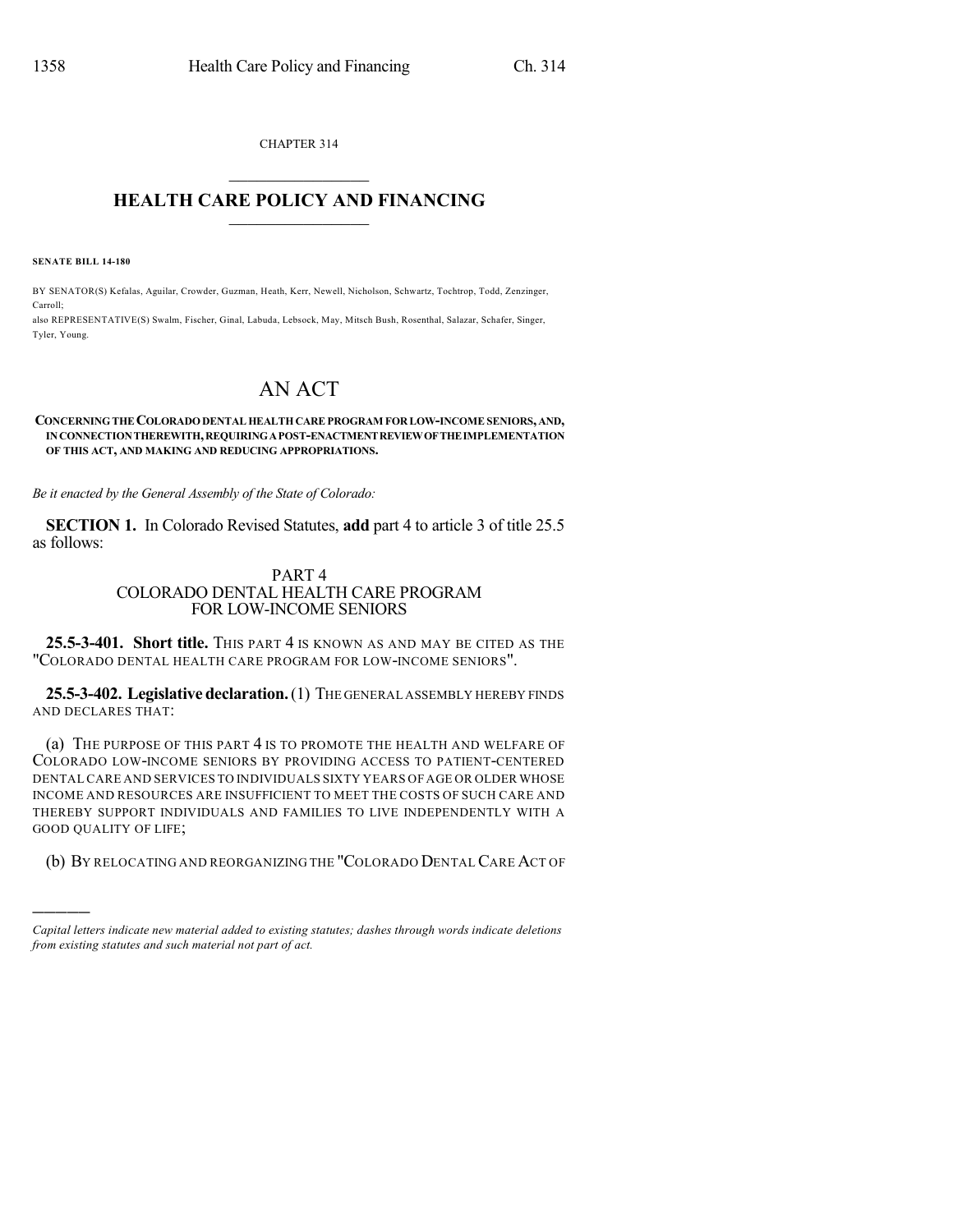CHAPTER 314  $\overline{\phantom{a}}$  . The set of the set of the set of the set of the set of the set of the set of the set of the set of the set of the set of the set of the set of the set of the set of the set of the set of the set of the set o

## **HEALTH CARE POLICY AND FINANCING**  $\_$   $\_$   $\_$   $\_$   $\_$   $\_$   $\_$   $\_$

**SENATE BILL 14-180**

)))))

BY SENATOR(S) Kefalas, Aguilar, Crowder, Guzman, Heath, Kerr, Newell, Nicholson, Schwartz, Tochtrop, Todd, Zenzinger, Carroll;

also REPRESENTATIVE(S) Swalm, Fischer, Ginal, Labuda, Lebsock, May, Mitsch Bush, Rosenthal, Salazar, Schafer, Singer, Tyler, Young.

# AN ACT

#### **CONCERNINGTHECOLORADODENTAL HEALTHCAREPROGRAM FOR LOW-INCOMESENIORS, AND, INCONNECTIONTHEREWITH,REQUIRINGAPOST-ENACTMENTREVIEWOFTHEIMPLEMENTATION OF THIS ACT, AND MAKING AND REDUCING APPROPRIATIONS.**

*Be it enacted by the General Assembly of the State of Colorado:*

**SECTION 1.** In Colorado Revised Statutes, **add** part 4 to article 3 of title 25.5 as follows:

### PART 4 COLORADO DENTAL HEALTH CARE PROGRAM FOR LOW-INCOME SENIORS

**25.5-3-401. Short title.** THIS PART 4 IS KNOWN AS AND MAY BE CITED AS THE "COLORADO DENTAL HEALTH CARE PROGRAM FOR LOW-INCOME SENIORS".

**25.5-3-402. Legislativedeclaration.**(1) THE GENERAL ASSEMBLY HEREBY FINDS AND DECLARES THAT:

(a) THE PURPOSE OF THIS PART 4 IS TO PROMOTE THE HEALTH AND WELFARE OF COLORADO LOW-INCOME SENIORS BY PROVIDING ACCESS TO PATIENT-CENTERED DENTAL CARE AND SERVICES TO INDIVIDUALS SIXTY YEARS OF AGE OR OLDER WHOSE INCOME AND RESOURCES ARE INSUFFICIENT TO MEET THE COSTS OF SUCH CARE AND THEREBY SUPPORT INDIVIDUALS AND FAMILIES TO LIVE INDEPENDENTLY WITH A GOOD QUALITY OF LIFE;

(b) BY RELOCATING AND REORGANIZING THE "COLORADO DENTALCARE ACT OF

*Capital letters indicate new material added to existing statutes; dashes through words indicate deletions from existing statutes and such material not part of act.*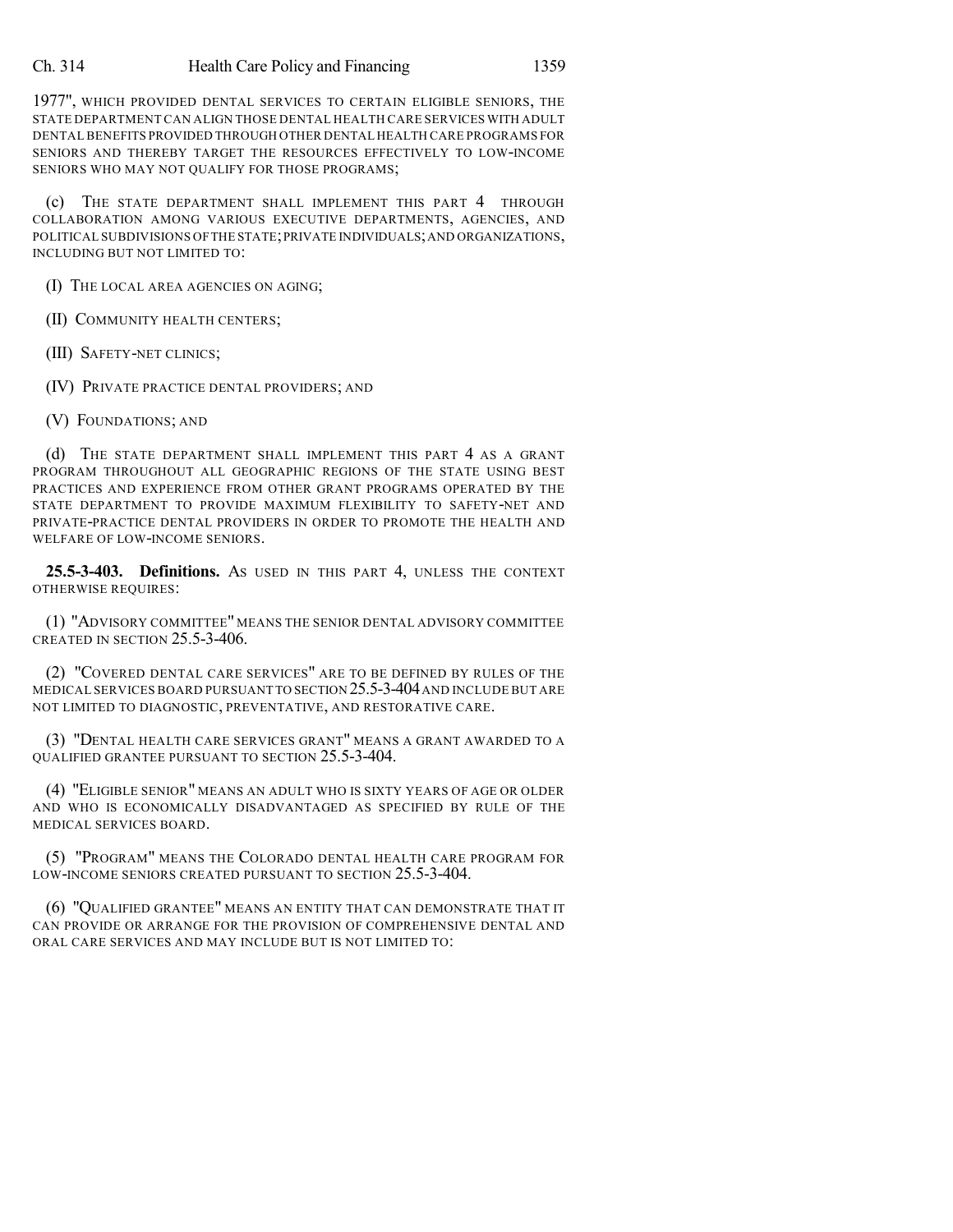1977", WHICH PROVIDED DENTAL SERVICES TO CERTAIN ELIGIBLE SENIORS, THE STATE DEPARTMENT CAN ALIGN THOSE DENTAL HEALTH CARE SERVICES WITH ADULT DENTAL BENEFITS PROVIDED THROUGH OTHER DENTAL HEALTH CARE PROGRAMS FOR SENIORS AND THEREBY TARGET THE RESOURCES EFFECTIVELY TO LOW-INCOME SENIORS WHO MAY NOT QUALIFY FOR THOSE PROGRAMS;

(c) THE STATE DEPARTMENT SHALL IMPLEMENT THIS PART 4 THROUGH COLLABORATION AMONG VARIOUS EXECUTIVE DEPARTMENTS, AGENCIES, AND POLITICAL SUBDIVISIONS OFTHE STATE;PRIVATE INDIVIDUALS;AND ORGANIZATIONS, INCLUDING BUT NOT LIMITED TO:

(I) THE LOCAL AREA AGENCIES ON AGING;

(II) COMMUNITY HEALTH CENTERS;

(III) SAFETY-NET CLINICS;

(IV) PRIVATE PRACTICE DENTAL PROVIDERS; AND

(V) FOUNDATIONS; AND

(d) THE STATE DEPARTMENT SHALL IMPLEMENT THIS PART 4 AS A GRANT PROGRAM THROUGHOUT ALL GEOGRAPHIC REGIONS OF THE STATE USING BEST PRACTICES AND EXPERIENCE FROM OTHER GRANT PROGRAMS OPERATED BY THE STATE DEPARTMENT TO PROVIDE MAXIMUM FLEXIBILITY TO SAFETY-NET AND PRIVATE-PRACTICE DENTAL PROVIDERS IN ORDER TO PROMOTE THE HEALTH AND WELFARE OF LOW-INCOME SENIORS.

**25.5-3-403. Definitions.** AS USED IN THIS PART 4, UNLESS THE CONTEXT OTHERWISE REQUIRES:

(1) "ADVISORY COMMITTEE" MEANS THE SENIOR DENTAL ADVISORY COMMITTEE CREATED IN SECTION 25.5-3-406.

(2) "COVERED DENTAL CARE SERVICES" ARE TO BE DEFINED BY RULES OF THE MEDICAL SERVICES BOARD PURSUANT TO SECTION 25.5-3-404AND INCLUDE BUT ARE NOT LIMITED TO DIAGNOSTIC, PREVENTATIVE, AND RESTORATIVE CARE.

(3) "DENTAL HEALTH CARE SERVICES GRANT" MEANS A GRANT AWARDED TO A QUALIFIED GRANTEE PURSUANT TO SECTION 25.5-3-404.

(4) "ELIGIBLE SENIOR" MEANS AN ADULT WHO IS SIXTY YEARS OF AGE OR OLDER AND WHO IS ECONOMICALLY DISADVANTAGED AS SPECIFIED BY RULE OF THE MEDICAL SERVICES BOARD.

(5) "PROGRAM" MEANS THE COLORADO DENTAL HEALTH CARE PROGRAM FOR LOW-INCOME SENIORS CREATED PURSUANT TO SECTION 25.5-3-404.

(6) "QUALIFIED GRANTEE" MEANS AN ENTITY THAT CAN DEMONSTRATE THAT IT CAN PROVIDE OR ARRANGE FOR THE PROVISION OF COMPREHENSIVE DENTAL AND ORAL CARE SERVICES AND MAY INCLUDE BUT IS NOT LIMITED TO: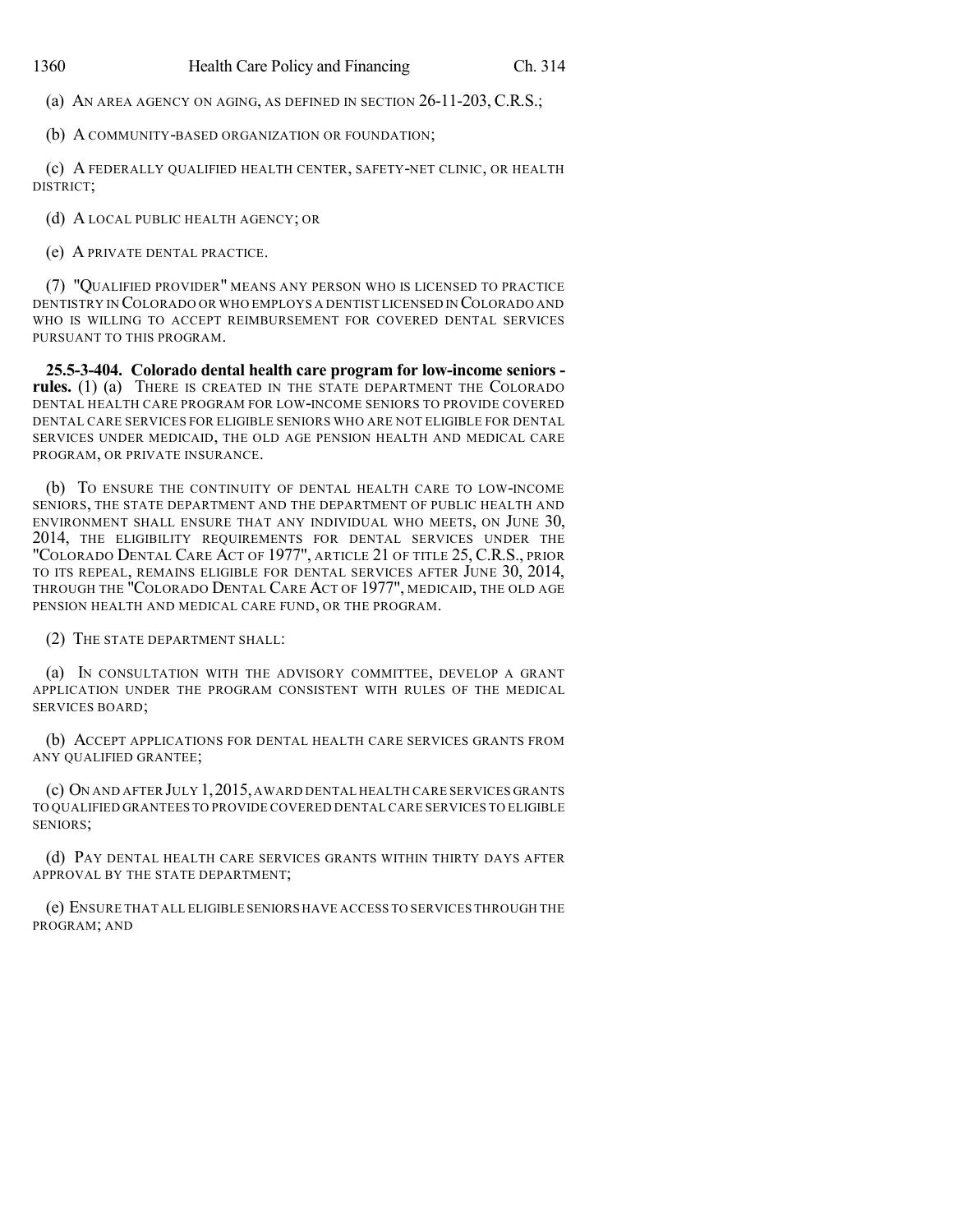(a) AN AREA AGENCY ON AGING, AS DEFINED IN SECTION 26-11-203, C.R.S.;

(b) A COMMUNITY-BASED ORGANIZATION OR FOUNDATION;

(c) A FEDERALLY QUALIFIED HEALTH CENTER, SAFETY-NET CLINIC, OR HEALTH DISTRICT;

(d) A LOCAL PUBLIC HEALTH AGENCY; OR

(e) A PRIVATE DENTAL PRACTICE.

(7) "QUALIFIED PROVIDER" MEANS ANY PERSON WHO IS LICENSED TO PRACTICE DENTISTRY IN COLORADO OR WHO EMPLOYS A DENTIST LICENSED IN COLORADO AND WHO IS WILLING TO ACCEPT REIMBURSEMENT FOR COVERED DENTAL SERVICES PURSUANT TO THIS PROGRAM.

**25.5-3-404. Colorado dental health care program for low-income seniors rules.** (1) (a) THERE IS CREATED IN THE STATE DEPARTMENT THE COLORADO DENTAL HEALTH CARE PROGRAM FOR LOW-INCOME SENIORS TO PROVIDE COVERED DENTAL CARE SERVICES FOR ELIGIBLE SENIORS WHO ARE NOT ELIGIBLE FOR DENTAL SERVICES UNDER MEDICAID, THE OLD AGE PENSION HEALTH AND MEDICAL CARE PROGRAM, OR PRIVATE INSURANCE.

(b) TO ENSURE THE CONTINUITY OF DENTAL HEALTH CARE TO LOW-INCOME SENIORS, THE STATE DEPARTMENT AND THE DEPARTMENT OF PUBLIC HEALTH AND ENVIRONMENT SHALL ENSURE THAT ANY INDIVIDUAL WHO MEETS, ON JUNE 30, 2014, THE ELIGIBILITY REQUIREMENTS FOR DENTAL SERVICES UNDER THE "COLORADO DENTAL CARE ACT OF 1977", ARTICLE 21 OF TITLE 25, C.R.S., PRIOR TO ITS REPEAL, REMAINS ELIGIBLE FOR DENTAL SERVICES AFTER JUNE 30, 2014, THROUGH THE "COLORADO DENTAL CARE ACT OF 1977", MEDICAID, THE OLD AGE PENSION HEALTH AND MEDICAL CARE FUND, OR THE PROGRAM.

(2) THE STATE DEPARTMENT SHALL:

(a) IN CONSULTATION WITH THE ADVISORY COMMITTEE, DEVELOP A GRANT APPLICATION UNDER THE PROGRAM CONSISTENT WITH RULES OF THE MEDICAL SERVICES BOARD;

(b) ACCEPT APPLICATIONS FOR DENTAL HEALTH CARE SERVICES GRANTS FROM ANY QUALIFIED GRANTEE;

(c) ON AND AFTER JULY 1,2015,AWARD DENTAL HEALTH CARE SERVICES GRANTS TO QUALIFIED GRANTEES TO PROVIDE COVERED DENTAL CARE SERVICES TO ELIGIBLE SENIORS;

(d) PAY DENTAL HEALTH CARE SERVICES GRANTS WITHIN THIRTY DAYS AFTER APPROVAL BY THE STATE DEPARTMENT;

(e) ENSURE THAT ALL ELIGIBLE SENIORS HAVE ACCESS TO SERVICES THROUGH THE PROGRAM; AND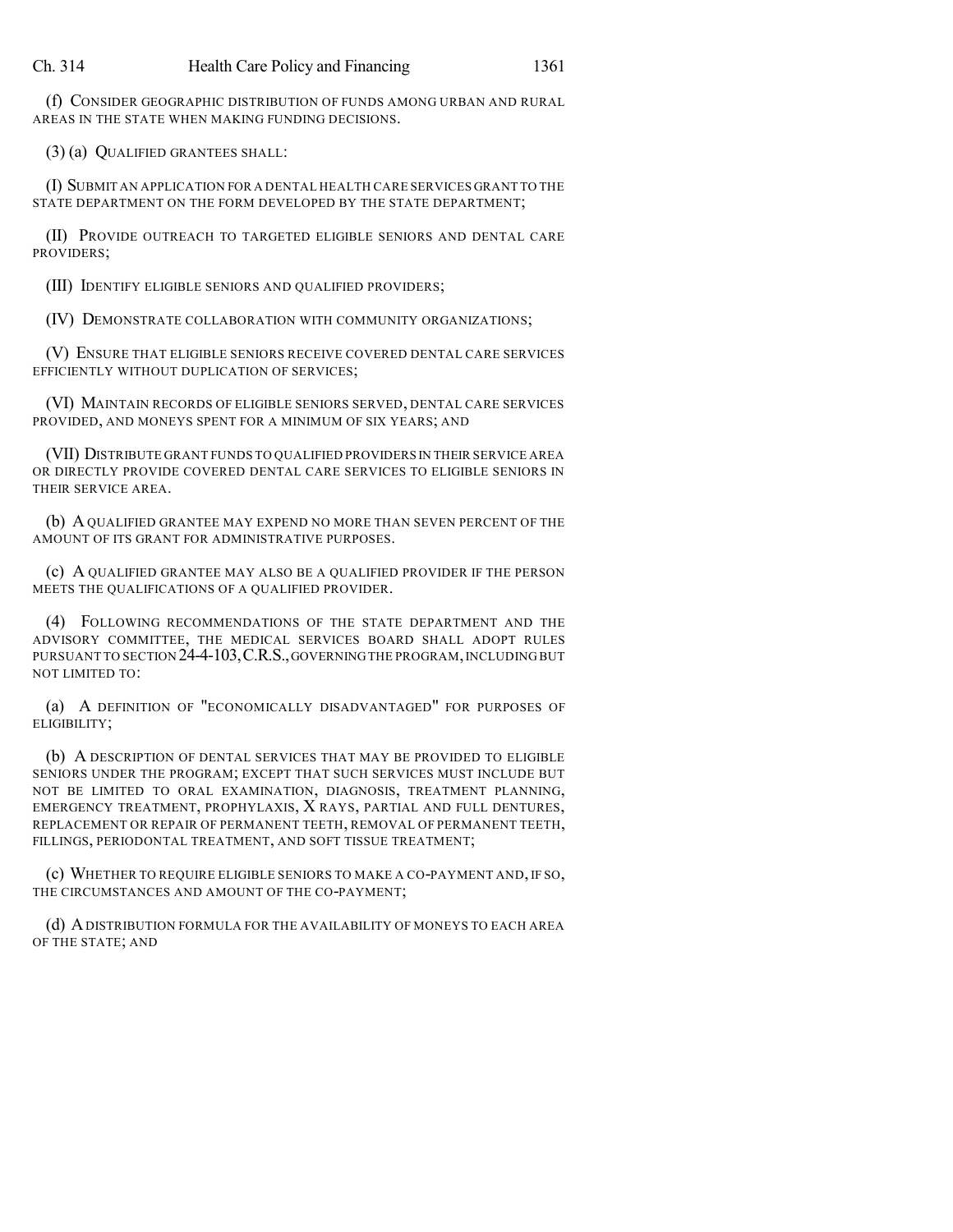(f) CONSIDER GEOGRAPHIC DISTRIBUTION OF FUNDS AMONG URBAN AND RURAL AREAS IN THE STATE WHEN MAKING FUNDING DECISIONS.

(3) (a) QUALIFIED GRANTEES SHALL:

(I) SUBMIT AN APPLICATION FOR A DENTAL HEALTH CARE SERVICES GRANT TO THE STATE DEPARTMENT ON THE FORM DEVELOPED BY THE STATE DEPARTMENT;

(II) PROVIDE OUTREACH TO TARGETED ELIGIBLE SENIORS AND DENTAL CARE PROVIDERS;

(III) IDENTIFY ELIGIBLE SENIORS AND QUALIFIED PROVIDERS;

(IV) DEMONSTRATE COLLABORATION WITH COMMUNITY ORGANIZATIONS;

(V) ENSURE THAT ELIGIBLE SENIORS RECEIVE COVERED DENTAL CARE SERVICES EFFICIENTLY WITHOUT DUPLICATION OF SERVICES;

(VI) MAINTAIN RECORDS OF ELIGIBLE SENIORS SERVED, DENTAL CARE SERVICES PROVIDED, AND MONEYS SPENT FOR A MINIMUM OF SIX YEARS; AND

(VII) DISTRIBUTE GRANT FUNDS TO QUALIFIED PROVIDERS IN THEIR SERVICE AREA OR DIRECTLY PROVIDE COVERED DENTAL CARE SERVICES TO ELIGIBLE SENIORS IN THEIR SERVICE AREA.

(b) AQUALIFIED GRANTEE MAY EXPEND NO MORE THAN SEVEN PERCENT OF THE AMOUNT OF ITS GRANT FOR ADMINISTRATIVE PURPOSES.

(c) A QUALIFIED GRANTEE MAY ALSO BE A QUALIFIED PROVIDER IF THE PERSON MEETS THE QUALIFICATIONS OF A QUALIFIED PROVIDER.

(4) FOLLOWING RECOMMENDATIONS OF THE STATE DEPARTMENT AND THE ADVISORY COMMITTEE, THE MEDICAL SERVICES BOARD SHALL ADOPT RULES PURSUANT TO SECTION 24-4-103, C.R.S., GOVERNING THE PROGRAM, INCLUDING BUT NOT LIMITED TO:

(a) A DEFINITION OF "ECONOMICALLY DISADVANTAGED" FOR PURPOSES OF ELIGIBILITY;

(b) A DESCRIPTION OF DENTAL SERVICES THAT MAY BE PROVIDED TO ELIGIBLE SENIORS UNDER THE PROGRAM; EXCEPT THAT SUCH SERVICES MUST INCLUDE BUT NOT BE LIMITED TO ORAL EXAMINATION, DIAGNOSIS, TREATMENT PLANNING, EMERGENCY TREATMENT, PROPHYLAXIS, X RAYS, PARTIAL AND FULL DENTURES, REPLACEMENT OR REPAIR OF PERMANENT TEETH, REMOVAL OF PERMANENT TEETH, FILLINGS, PERIODONTAL TREATMENT, AND SOFT TISSUE TREATMENT;

(c) WHETHER TO REQUIRE ELIGIBLE SENIORS TO MAKE A CO-PAYMENT AND, IF SO, THE CIRCUMSTANCES AND AMOUNT OF THE CO-PAYMENT;

(d) ADISTRIBUTION FORMULA FOR THE AVAILABILITY OF MONEYS TO EACH AREA OF THE STATE; AND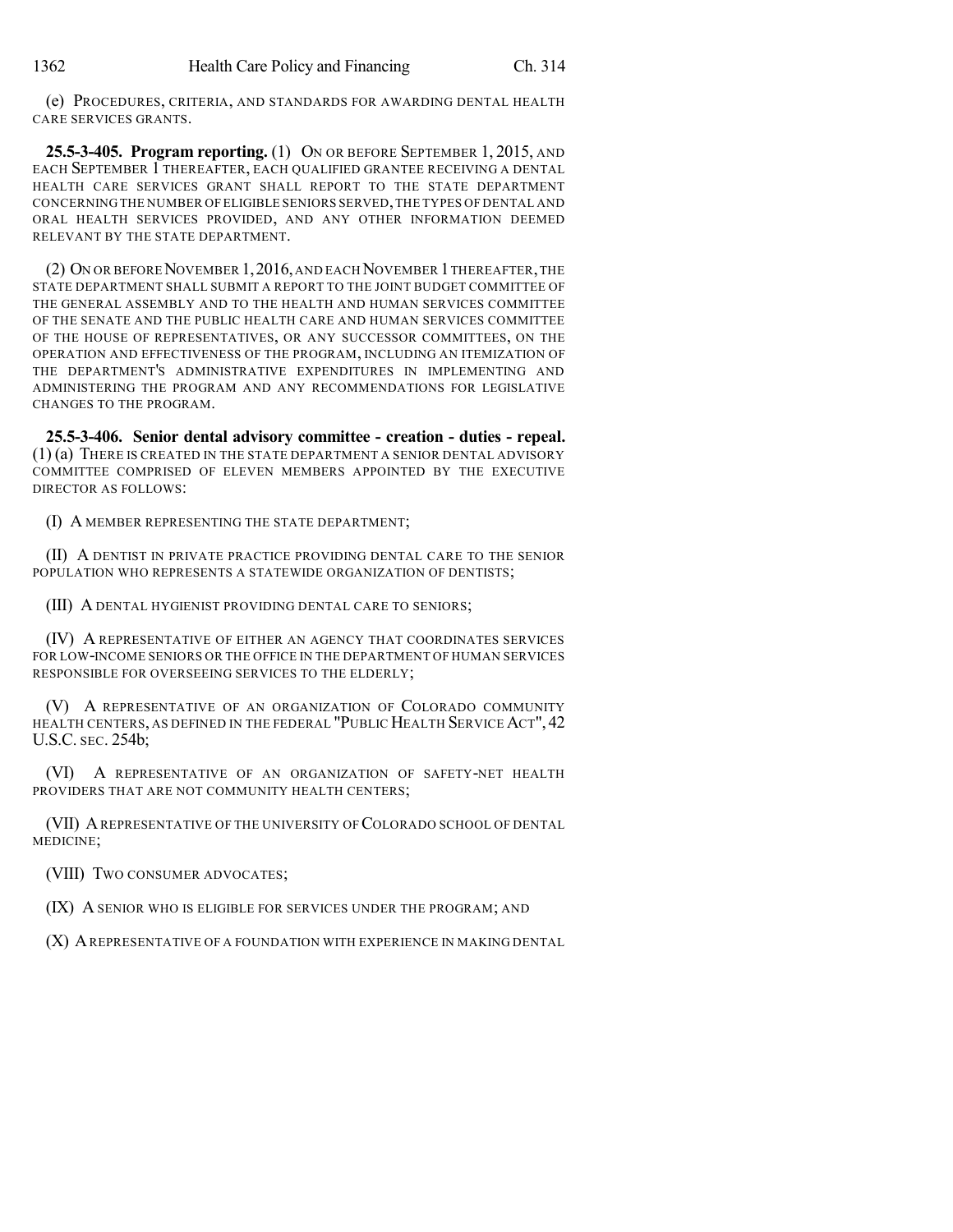(e) PROCEDURES, CRITERIA, AND STANDARDS FOR AWARDING DENTAL HEALTH CARE SERVICES GRANTS.

**25.5-3-405. Program reporting.** (1) ON OR BEFORE SEPTEMBER 1, 2015, AND EACH SEPTEMBER 1 THEREAFTER, EACH QUALIFIED GRANTEE RECEIVING A DENTAL HEALTH CARE SERVICES GRANT SHALL REPORT TO THE STATE DEPARTMENT CONCERNING THE NUMBER OF ELIGIBLE SENIORS SERVED,THE TYPES OF DENTAL AND ORAL HEALTH SERVICES PROVIDED, AND ANY OTHER INFORMATION DEEMED RELEVANT BY THE STATE DEPARTMENT.

(2) ON OR BEFORE NOVEMBER 1, 2016, AND EACH NOVEMBER 1 THEREAFTER, THE STATE DEPARTMENT SHALL SUBMIT A REPORT TO THE JOINT BUDGET COMMITTEE OF THE GENERAL ASSEMBLY AND TO THE HEALTH AND HUMAN SERVICES COMMITTEE OF THE SENATE AND THE PUBLIC HEALTH CARE AND HUMAN SERVICES COMMITTEE OF THE HOUSE OF REPRESENTATIVES, OR ANY SUCCESSOR COMMITTEES, ON THE OPERATION AND EFFECTIVENESS OF THE PROGRAM, INCLUDING AN ITEMIZATION OF THE DEPARTMENT'S ADMINISTRATIVE EXPENDITURES IN IMPLEMENTING AND ADMINISTERING THE PROGRAM AND ANY RECOMMENDATIONS FOR LEGISLATIVE CHANGES TO THE PROGRAM.

**25.5-3-406. Senior dental advisory committee - creation - duties - repeal.** (1) (a) THERE IS CREATED IN THE STATE DEPARTMENT A SENIOR DENTAL ADVISORY COMMITTEE COMPRISED OF ELEVEN MEMBERS APPOINTED BY THE EXECUTIVE DIRECTOR AS FOLLOWS:

(I) A MEMBER REPRESENTING THE STATE DEPARTMENT;

(II) A DENTIST IN PRIVATE PRACTICE PROVIDING DENTAL CARE TO THE SENIOR POPULATION WHO REPRESENTS A STATEWIDE ORGANIZATION OF DENTISTS;

(III) A DENTAL HYGIENIST PROVIDING DENTAL CARE TO SENIORS;

(IV) A REPRESENTATIVE OF EITHER AN AGENCY THAT COORDINATES SERVICES FOR LOW-INCOME SENIORS OR THE OFFICE IN THE DEPARTMENT OF HUMAN SERVICES RESPONSIBLE FOR OVERSEEING SERVICES TO THE ELDERLY;

(V) A REPRESENTATIVE OF AN ORGANIZATION OF COLORADO COMMUNITY HEALTH CENTERS, AS DEFINED IN THE FEDERAL "PUBLIC HEALTH SERVICE ACT", 42 U.S.C. SEC. 254b;

(VI) A REPRESENTATIVE OF AN ORGANIZATION OF SAFETY-NET HEALTH PROVIDERS THAT ARE NOT COMMUNITY HEALTH CENTERS;

(VII) AREPRESENTATIVE OF THE UNIVERSITY OF COLORADO SCHOOL OF DENTAL MEDICINE;

(VIII) TWO CONSUMER ADVOCATES;

(IX) A SENIOR WHO IS ELIGIBLE FOR SERVICES UNDER THE PROGRAM; AND

(X) AREPRESENTATIVE OF A FOUNDATION WITH EXPERIENCE IN MAKING DENTAL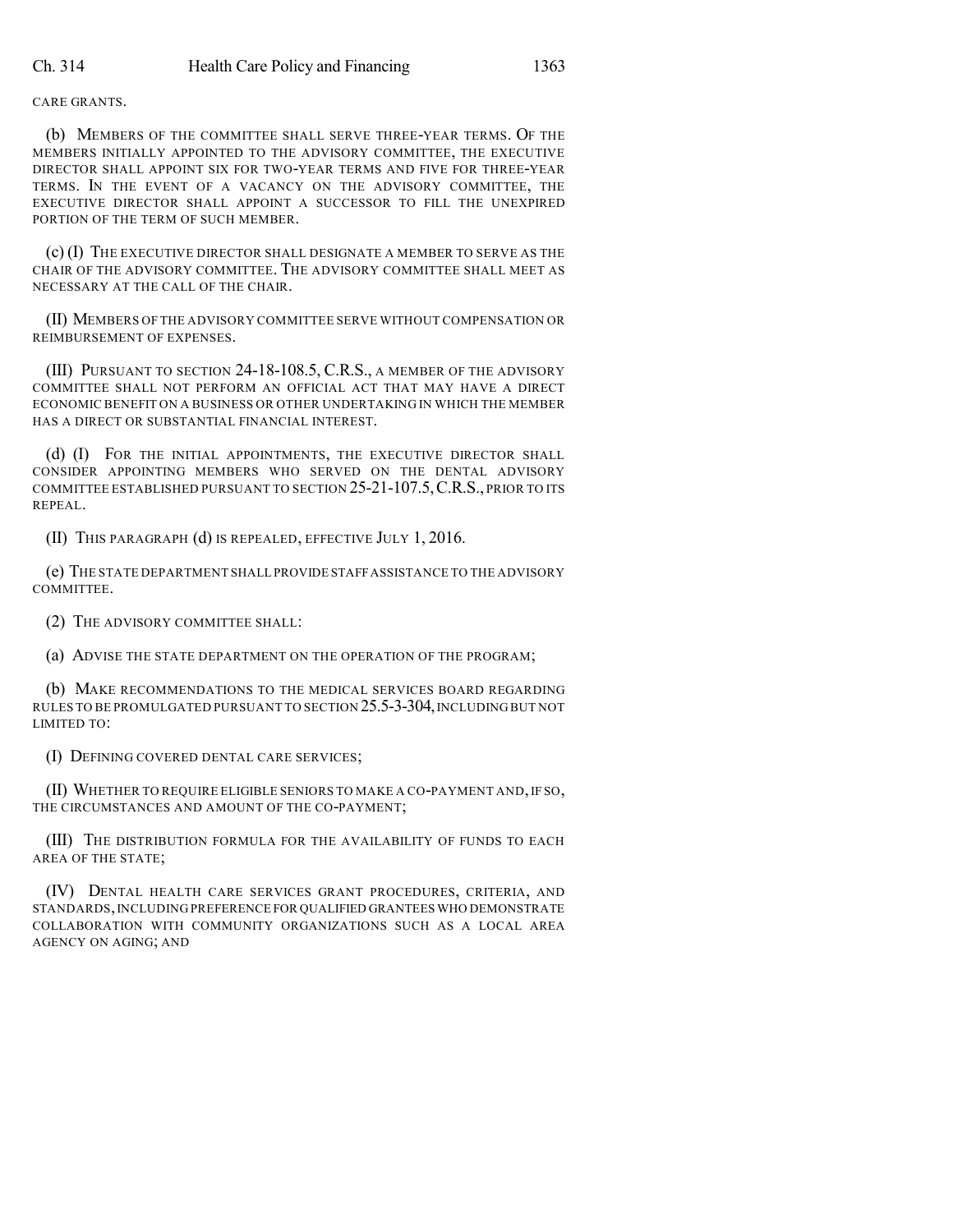#### CARE GRANTS.

(b) MEMBERS OF THE COMMITTEE SHALL SERVE THREE-YEAR TERMS. OF THE MEMBERS INITIALLY APPOINTED TO THE ADVISORY COMMITTEE, THE EXECUTIVE DIRECTOR SHALL APPOINT SIX FOR TWO-YEAR TERMS AND FIVE FOR THREE-YEAR TERMS. IN THE EVENT OF A VACANCY ON THE ADVISORY COMMITTEE, THE EXECUTIVE DIRECTOR SHALL APPOINT A SUCCESSOR TO FILL THE UNEXPIRED PORTION OF THE TERM OF SUCH MEMBER.

(c) (I) THE EXECUTIVE DIRECTOR SHALL DESIGNATE A MEMBER TO SERVE AS THE CHAIR OF THE ADVISORY COMMITTEE. THE ADVISORY COMMITTEE SHALL MEET AS NECESSARY AT THE CALL OF THE CHAIR.

(II) MEMBERS OF THE ADVISORY COMMITTEE SERVE WITHOUT COMPENSATION OR REIMBURSEMENT OF EXPENSES.

(III) PURSUANT TO SECTION 24-18-108.5, C.R.S., A MEMBER OF THE ADVISORY COMMITTEE SHALL NOT PERFORM AN OFFICIAL ACT THAT MAY HAVE A DIRECT ECONOMIC BENEFIT ON A BUSINESS OR OTHER UNDERTAKING IN WHICH THE MEMBER HAS A DIRECT OR SUBSTANTIAL FINANCIAL INTEREST.

(d) (I) FOR THE INITIAL APPOINTMENTS, THE EXECUTIVE DIRECTOR SHALL CONSIDER APPOINTING MEMBERS WHO SERVED ON THE DENTAL ADVISORY COMMITTEE ESTABLISHED PURSUANT TO SECTION 25-21-107.5,C.R.S., PRIOR TO ITS REPEAL.

(II) THIS PARAGRAPH (d) IS REPEALED, EFFECTIVE JULY 1, 2016.

(e) THE STATE DEPARTMENT SHALL PROVIDE STAFFASSISTANCE TO THE ADVISORY COMMITTEE.

(2) THE ADVISORY COMMITTEE SHALL:

(a) ADVISE THE STATE DEPARTMENT ON THE OPERATION OF THE PROGRAM;

(b) MAKE RECOMMENDATIONS TO THE MEDICAL SERVICES BOARD REGARDING RULES TO BE PROMULGATED PURSUANT TO SECTION 25.5-3-304,INCLUDING BUT NOT LIMITED TO:

(I) DEFINING COVERED DENTAL CARE SERVICES;

(II) WHETHER TO REQUIRE ELIGIBLE SENIORS TO MAKE A CO-PAYMENT AND, IF SO, THE CIRCUMSTANCES AND AMOUNT OF THE CO-PAYMENT;

(III) THE DISTRIBUTION FORMULA FOR THE AVAILABILITY OF FUNDS TO EACH AREA OF THE STATE;

(IV) DENTAL HEALTH CARE SERVICES GRANT PROCEDURES, CRITERIA, AND STANDARDS,INCLUDING PREFERENCE FOR QUALIFIED GRANTEES WHO DEMONSTRATE COLLABORATION WITH COMMUNITY ORGANIZATIONS SUCH AS A LOCAL AREA AGENCY ON AGING; AND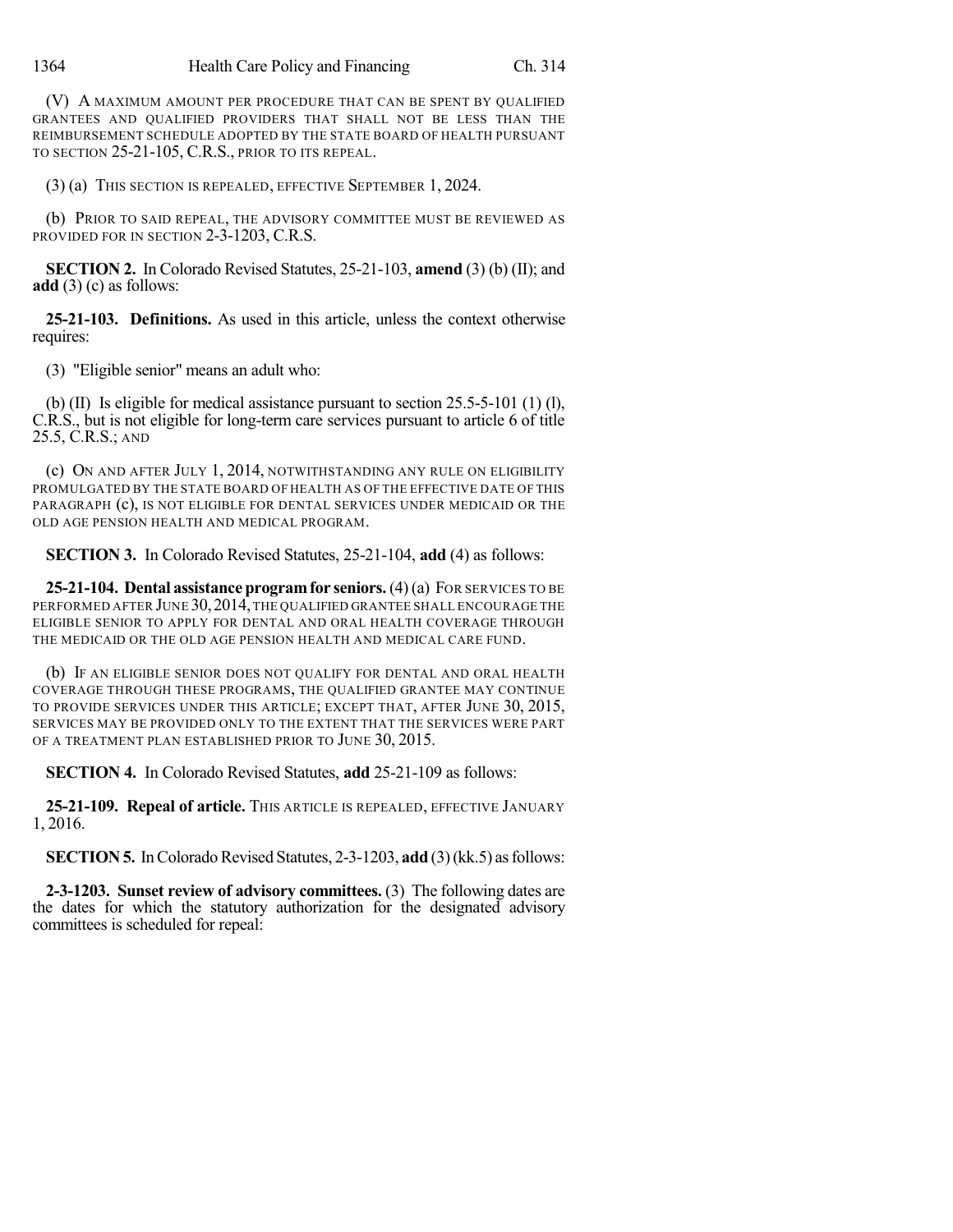(V) A MAXIMUM AMOUNT PER PROCEDURE THAT CAN BE SPENT BY QUALIFIED GRANTEES AND QUALIFIED PROVIDERS THAT SHALL NOT BE LESS THAN THE REIMBURSEMENT SCHEDULE ADOPTED BY THE STATE BOARD OF HEALTH PURSUANT TO SECTION 25-21-105, C.R.S., PRIOR TO ITS REPEAL.

(3) (a) THIS SECTION IS REPEALED, EFFECTIVE SEPTEMBER 1, 2024.

(b) PRIOR TO SAID REPEAL, THE ADVISORY COMMITTEE MUST BE REVIEWED AS PROVIDED FOR IN SECTION 2-3-1203, C.R.S.

**SECTION 2.** In Colorado Revised Statutes, 25-21-103, **amend** (3) (b) (II); and **add** (3) (c) as follows:

**25-21-103. Definitions.** As used in this article, unless the context otherwise requires:

(3) "Eligible senior" means an adult who:

(b) (II) Is eligible for medical assistance pursuant to section 25.5-5-101 (1) (l), C.R.S., but is not eligible for long-term care services pursuant to article 6 of title 25.5, C.R.S.; AND

(c) ON AND AFTER JULY 1, 2014, NOTWITHSTANDING ANY RULE ON ELIGIBILITY PROMULGATED BY THE STATE BOARD OF HEALTH AS OF THE EFFECTIVE DATE OF THIS PARAGRAPH (c), IS NOT ELIGIBLE FOR DENTAL SERVICES UNDER MEDICAID OR THE OLD AGE PENSION HEALTH AND MEDICAL PROGRAM.

**SECTION 3.** In Colorado Revised Statutes, 25-21-104, **add** (4) as follows:

**25-21-104. Dental assistance programfor seniors.**(4)(a) FOR SERVICES TO BE PERFORMED AFTER JUNE 30, 2014, THE QUALIFIED GRANTEE SHALL ENCOURAGE THE ELIGIBLE SENIOR TO APPLY FOR DENTAL AND ORAL HEALTH COVERAGE THROUGH THE MEDICAID OR THE OLD AGE PENSION HEALTH AND MEDICAL CARE FUND.

(b) IF AN ELIGIBLE SENIOR DOES NOT QUALIFY FOR DENTAL AND ORAL HEALTH COVERAGE THROUGH THESE PROGRAMS, THE QUALIFIED GRANTEE MAY CONTINUE TO PROVIDE SERVICES UNDER THIS ARTICLE; EXCEPT THAT, AFTER JUNE 30, 2015, SERVICES MAY BE PROVIDED ONLY TO THE EXTENT THAT THE SERVICES WERE PART OF A TREATMENT PLAN ESTABLISHED PRIOR TO JUNE 30, 2015.

**SECTION 4.** In Colorado Revised Statutes, **add** 25-21-109 as follows:

**25-21-109. Repeal of article.** THIS ARTICLE IS REPEALED, EFFECTIVE JANUARY 1, 2016.

**SECTION 5.** In Colorado Revised Statutes, 2-3-1203, add (3)(kk, 5) as follows:

**2-3-1203. Sunset review of advisory committees.** (3) The following dates are the dates for which the statutory authorization for the designated advisory committees is scheduled for repeal: